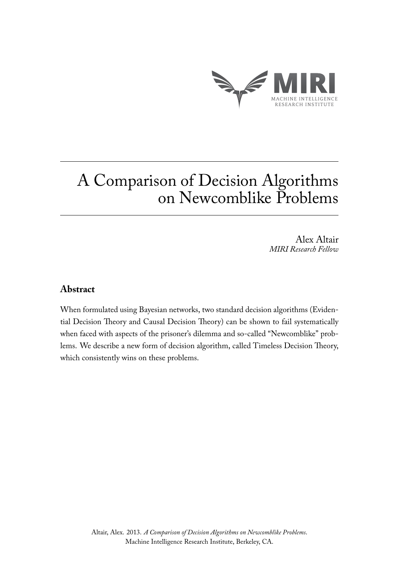

Alex Altair *MIRI Research Fellow*

# **Abstract**

When formulated using Bayesian networks, two standard decision algorithms (Evidential Decision Theory and Causal Decision Theory) can be shown to fail systematically when faced with aspects of the prisoner's dilemma and so-called "Newcomblike" problems. We describe a new form of decision algorithm, called Timeless Decision Theory, which consistently wins on these problems.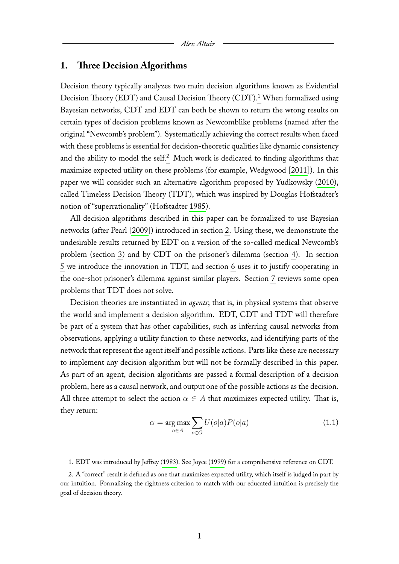#### **1. Three Decision Algorithms**

Decision theory typically analyzes two main decision algorithms known as Evidential Decision Theory (EDT) and Causal Decision Theory (CDT).<sup>[1](#page-1-0)</sup> When formalized using Bayesian networks, CDT and EDT can both be shown to return the wrong results on certain types of decision problems known as Newcomblike problems (named after the original "Newcomb's problem"). Systematically achieving the correct results when faced with these problems is essential for decision-theoretic qualities like dynamic consistency and the ability to model the self.<sup>[2](#page-1-1)</sup> Much work is dedicated to finding algorithms that maximize expected utility on these problems (for example, Wedgwood [\[2011\]](#page-16-0)). In this paper we will consider such an alternative algorithm proposed by Yudkowsky [\(2010\)](#page-16-1), called Timeless Decision Theory (TDT), which was inspired by Douglas Hofstadter's notion of "superrationality" (Hofstadter [1985\)](#page-15-0).

All decision algorithms described in this paper can be formalized to use Bayesian networks (after Pearl [\[2009\]](#page-15-1)) introduced in section [2.](#page-2-0) Using these, we demonstrate the undesirable results returned by EDT on a version of the so-called medical Newcomb's problem (section [3\)](#page-4-0) and by CDT on the prisoner's dilemma (section [4\)](#page-6-0). In section [5](#page-8-0) we introduce the innovation in TDT, and section [6](#page-11-0) uses it to justify cooperating in the one-shot prisoner's dilemma against similar players. Section [7](#page-14-0) reviews some open problems that TDT does not solve.

Decision theories are instantiated in *agents*; that is, in physical systems that observe the world and implement a decision algorithm. EDT, CDT and TDT will therefore be part of a system that has other capabilities, such as inferring causal networks from observations, applying a utility function to these networks, and identifying parts of the network that represent the agent itself and possible actions. Parts like these are necessary to implement any decision algorithm but will not be formally described in this paper. As part of an agent, decision algorithms are passed a formal description of a decision problem, here as a causal network, and output one of the possible actions as the decision. All three attempt to select the action  $\alpha \in A$  that maximizes expected utility. That is, they return:

<span id="page-1-2"></span>
$$
\alpha = \underset{a \in A}{\arg \max} \sum_{o \in O} U(o|a)P(o|a) \tag{1.1}
$$

<span id="page-1-1"></span><span id="page-1-0"></span><sup>1.</sup> EDT was introduced by Jeffrey [\(1983\)](#page-15-2). See Joyce [\(1999\)](#page-15-3) for a comprehensive reference on CDT.

<sup>2.</sup> A "correct" result is defined as one that maximizes expected utility, which itself is judged in part by our intuition. Formalizing the rightness criterion to match with our educated intuition is precisely the goal of decision theory.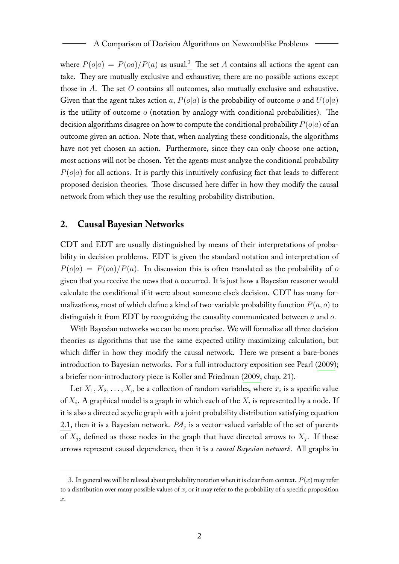where  $P(o|a) = P(oa)/P(a)$  as usual.<sup>[3](#page-2-1)</sup> The set A contains all actions the agent can take. They are mutually exclusive and exhaustive; there are no possible actions except those in  $A$ . The set  $O$  contains all outcomes, also mutually exclusive and exhaustive. Given that the agent takes action a,  $P(o|a)$  is the probability of outcome o and  $U(o|a)$ is the utility of outcome  $o$  (notation by analogy with conditional probabilities). The decision algorithms disagree on how to compute the conditional probability  $P(o|a)$  of an outcome given an action. Note that, when analyzing these conditionals, the algorithms have not yet chosen an action. Furthermore, since they can only choose one action, most actions will not be chosen. Yet the agents must analyze the conditional probability  $P(o|a)$  for all actions. It is partly this intuitively confusing fact that leads to different proposed decision theories. Those discussed here differ in how they modify the causal network from which they use the resulting probability distribution.

#### <span id="page-2-0"></span>**2. Causal Bayesian Networks**

CDT and EDT are usually distinguished by means of their interpretations of probability in decision problems. EDT is given the standard notation and interpretation of  $P(o|a) = P(oa)/P(a)$ . In discussion this is often translated as the probability of o given that you receive the news that  $a$  occurred. It is just how a Bayesian reasoner would calculate the conditional if it were about someone else's decision. CDT has many formalizations, most of which define a kind of two-variable probability function  $P(a, o)$  to distinguish it from EDT by recognizing the causality communicated between  $a$  and  $o$ .

With Bayesian networks we can be more precise. We will formalize all three decision theories as algorithms that use the same expected utility maximizing calculation, but which differ in how they modify the causal network. Here we present a bare-bones introduction to Bayesian networks. For a full introductory exposition see Pearl [\(2009\)](#page-15-1); a briefer non-introductory piece is Koller and Friedman [\(2009,](#page-15-4) chap. 21).

Let  $X_1, X_2, \ldots, X_n$  be a collection of random variables, where  $x_i$  is a specific value of  $X_i$ . A graphical model is a graph in which each of the  $X_i$  is represented by a node. If it is also a directed acyclic graph with a joint probability distribution satisfying equation [2.1,](#page-3-0) then it is a Bayesian network.  $P\!A_j$  is a vector-valued variable of the set of parents of  $X_j$ , defined as those nodes in the graph that have directed arrows to  $X_j$ . If these arrows represent causal dependence, then it is a *causal Bayesian network*. All graphs in

<span id="page-2-1"></span><sup>3.</sup> In general we will be relaxed about probability notation when it is clear from context.  $P(x)$  may refer to a distribution over many possible values of  $x$ , or it may refer to the probability of a specific proposition x.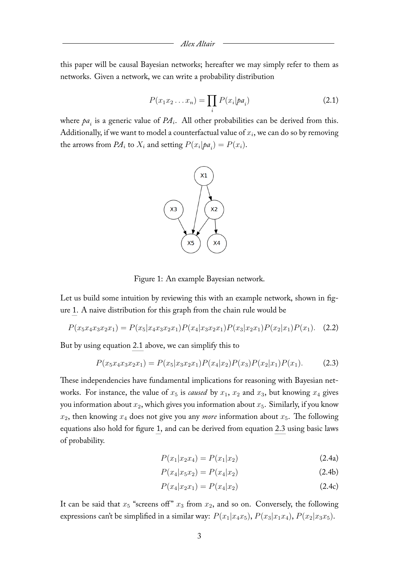<span id="page-3-0"></span>this paper will be causal Bayesian networks; hereafter we may simply refer to them as networks. Given a network, we can write a probability distribution

$$
P(x_1x_2...x_n) = \prod_i P(x_i|pa_i)
$$
 (2.1)

where  $pa_i$  is a generic value of  $PA_i$ . All other probabilities can be derived from this. Additionally, if we want to model a counterfactual value of  $x_i$ , we can do so by removing the arrows from  $PA_i$  to  $X_i$  and setting  $P(x_i|pa_i) = P(x_i)$ .



<span id="page-3-2"></span><span id="page-3-1"></span>Figure 1: An example Bayesian network.

Let us build some intuition by reviewing this with an example network, shown in figure [1.](#page-3-1) A naive distribution for this graph from the chain rule would be

$$
P(x_5x_4x_3x_2x_1) = P(x_5|x_4x_3x_2x_1)P(x_4|x_3x_2x_1)P(x_3|x_2x_1)P(x_2|x_1)P(x_1).
$$
 (2.2)

But by using equation [2.1](#page-3-0) above, we can simplify this to

$$
P(x_5x_4x_3x_2x_1) = P(x_5|x_3x_2x_1)P(x_4|x_2)P(x_3)P(x_2|x_1)P(x_1).
$$
 (2.3)

These independencies have fundamental implications for reasoning with Bayesian networks. For instance, the value of  $x_5$  is *caused* by  $x_1$ ,  $x_2$  and  $x_3$ , but knowing  $x_4$  gives you information about  $x_2$ , which gives you information about  $x_5$ . Similarly, if you know  $x_2$ , then knowing  $x_4$  does not give you any *more* information about  $x_5$ . The following equations also hold for figure [1,](#page-3-1) and can be derived from equation [2.3](#page-3-2) using basic laws of probability.

$$
P(x_1|x_2x_4) = P(x_1|x_2)
$$
\n(2.4a)

$$
P(x_4|x_5x_2) = P(x_4|x_2)
$$
\n(2.4b)

$$
P(x_4|x_2x_1) = P(x_4|x_2)
$$
\n(2.4c)

It can be said that  $x_5$  "screens off"  $x_3$  from  $x_2$ , and so on. Conversely, the following expressions can't be simplified in a similar way:  $P(x_1|x_4x_5)$ ,  $P(x_3|x_1x_4)$ ,  $P(x_2|x_3x_5)$ .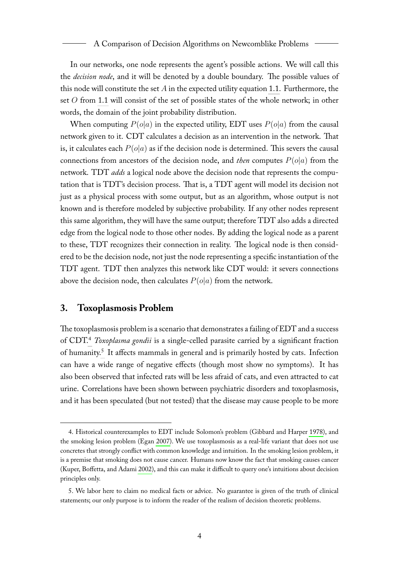In our networks, one node represents the agent's possible actions. We will call this the *decision node*, and it will be denoted by a double boundary. The possible values of this node will constitute the set  $A$  in the expected utility equation [1.1.](#page-1-2) Furthermore, the set O from [1.1](#page-1-2) will consist of the set of possible states of the whole network; in other words, the domain of the joint probability distribution.

When computing  $P(o|a)$  in the expected utility, EDT uses  $P(o|a)$  from the causal network given to it. CDT calculates a decision as an intervention in the network. That is, it calculates each  $P(o|a)$  as if the decision node is determined. This severs the causal connections from ancestors of the decision node, and *then* computes  $P(o|a)$  from the network. TDT *adds* a logical node above the decision node that represents the computation that is TDT's decision process. That is, a TDT agent will model its decision not just as a physical process with some output, but as an algorithm, whose output is not known and is therefore modeled by subjective probability. If any other nodes represent this same algorithm, they will have the same output; therefore TDT also adds a directed edge from the logical node to those other nodes. By adding the logical node as a parent to these, TDT recognizes their connection in reality. The logical node is then considered to be the decision node, not just the node representing a specific instantiation of the TDT agent. TDT then analyzes this network like CDT would: it severs connections above the decision node, then calculates  $P(o|a)$  from the network.

### <span id="page-4-0"></span>**3. Toxoplasmosis Problem**

The toxoplasmosis problem is a scenario that demonstrates a failing of EDT and a success of CDT.[4](#page-4-1) *Toxoplasma gondii* is a single-celled parasite carried by a significant fraction of humanity.<sup>[5](#page-4-2)</sup> It affects mammals in general and is primarily hosted by cats. Infection can have a wide range of negative effects (though most show no symptoms). It has also been observed that infected rats will be less afraid of cats, and even attracted to cat urine. Correlations have been shown between psychiatric disorders and toxoplasmosis, and it has been speculated (but not tested) that the disease may cause people to be more

<span id="page-4-1"></span><sup>4.</sup> Historical counterexamples to EDT include Solomon's problem (Gibbard and Harper [1978\)](#page-15-5), and the smoking lesion problem (Egan [2007\)](#page-15-6). We use toxoplasmosis as a real-life variant that does not use concretes that strongly conflict with common knowledge and intuition. In the smoking lesion problem, it is a premise that smoking does not cause cancer. Humans now know the fact that smoking causes cancer (Kuper, Boffetta, and Adami [2002\)](#page-15-7), and this can make it difficult to query one's intuitions about decision principles only.

<span id="page-4-2"></span><sup>5.</sup> We labor here to claim no medical facts or advice. No guarantee is given of the truth of clinical statements; our only purpose is to inform the reader of the realism of decision theoretic problems.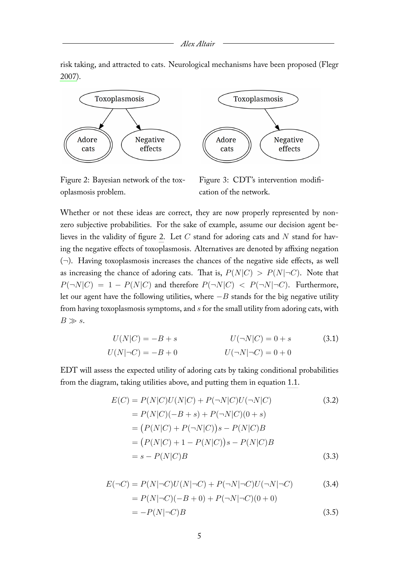risk taking, and attracted to cats. Neurological mechanisms have been proposed (Flegr [2007\)](#page-15-8).



Figure 2: Bayesian network of the toxoplasmosis problem.

<span id="page-5-1"></span><span id="page-5-0"></span>Figure 3: CDT's intervention modification of the network.

Whether or not these ideas are correct, they are now properly represented by nonzero subjective probabilities. For the sake of example, assume our decision agent be-lieves in the validity of figure [2.](#page-5-0) Let  $C$  stand for adoring cats and  $N$  stand for having the negative effects of toxoplasmosis. Alternatives are denoted by affixing negation  $(\neg)$ . Having toxoplasmosis increases the chances of the negative side effects, as well as increasing the chance of adoring cats. That is,  $P(N|C) > P(N|\neg C)$ . Note that  $P(\neg N|C) = 1 - P(N|C)$  and therefore  $P(\neg N|C) < P(\neg N|\neg C)$ . Furthermore, let our agent have the following utilities, where  $-B$  stands for the big negative utility from having toxoplasmosis symptoms, and s for the small utility from adoring cats, with  $B \gg s$ .

$$
U(N|C) = -B + s \t\t U(\neg N|C) = 0 + s \t\t (3.1)
$$
  

$$
U(N|\neg C) = -B + 0 \t\t U(\neg N|\neg C) = 0 + 0
$$

EDT will assess the expected utility of adoring cats by taking conditional probabilities from the diagram, taking utilities above, and putting them in equation [1.1.](#page-1-2)

$$
E(C) = P(N|C)U(N|C) + P(\neg N|C)U(\neg N|C)
$$
(3.2)  
=  $P(N|C)(-B + s) + P(\neg N|C)(0 + s)$   
=  $(P(N|C) + P(\neg N|C))s - P(N|C)B$   
=  $(P(N|C) + 1 - P(N|C))s - P(N|C)B$   
=  $s - P(N|C)B$  (3.3)

$$
E(\neg C) = P(N|\neg C)U(N|\neg C) + P(\neg N|\neg C)U(\neg N|\neg C)
$$
(3.4)  
=  $P(N|\neg C)(-B+0) + P(\neg N|\neg C)(0+0)$   
=  $-P(N|\neg C)B$  (3.5)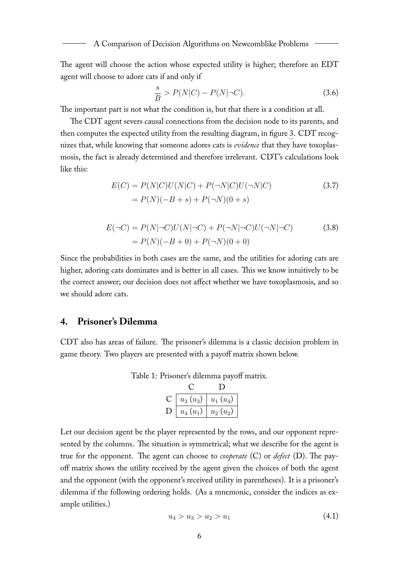The agent will choose the action whose expected utility is higher; therefore an EDT agent will choose to adore cats if and only if

$$
\frac{s}{B} > P(N|C) - P(N|\neg C). \tag{3.6}
$$

The important part is not what the condition is, but that there is a condition at all.

The CDT agent severs causal connections from the decision node to its parents, and then computes the expected utility from the resulting diagram, in figure [3.](#page-5-1) CDT recognizes that, while knowing that someone adores cats is *evidence* that they have toxoplasmosis, the fact is already determined and therefore irrelevant. CDT's calculations look like this:

$$
E(C) = P(N|C)U(N|C) + P(\neg N|C)U(\neg N|C)
$$
\n
$$
= P(N)(-B+s) + P(\neg N)(0+s)
$$
\n(3.7)

$$
E(\neg C) = P(N|\neg C)U(N|\neg C) + P(\neg N|\neg C)U(\neg N|\neg C)
$$
(3.8)  
=  $P(N)(-B+0) + P(\neg N)(0+0)$ 

Since the probabilities in both cases are the same, and the utilities for adoring cats are higher, adoring cats dominates and is better in all cases. This we know intuitively to be the correct answer; our decision does not affect whether we have toxoplasmosis, and so we should adore cats.

# <span id="page-6-0"></span>**4. Prisoner's Dilemma**

CDT also has areas of failure. The prisoner's dilemma is a classic decision problem in game theory. Two players are presented with a payoff matrix shown below.

| $u_3(u_3)$ | $u_1(u_4)$ |
|------------|------------|
| $u_4(u_1)$ | $u_2(u_2)$ |

Table 1: Prisoner's dilemma payoff matrix.

Let our decision agent be the player represented by the rows, and our opponent represented by the columns. The situation is symmetrical; what we describe for the agent is true for the opponent. The agent can choose to *cooperate* (C) or *defect* (D). The payoff matrix shows the utility received by the agent given the choices of both the agent and the opponent (with the opponent's received utility in parentheses). It is a prisoner's dilemma if the following ordering holds. (As a mnemonic, consider the indices as example utilities.)

$$
u_4 > u_3 > u_2 > u_1 \tag{4.1}
$$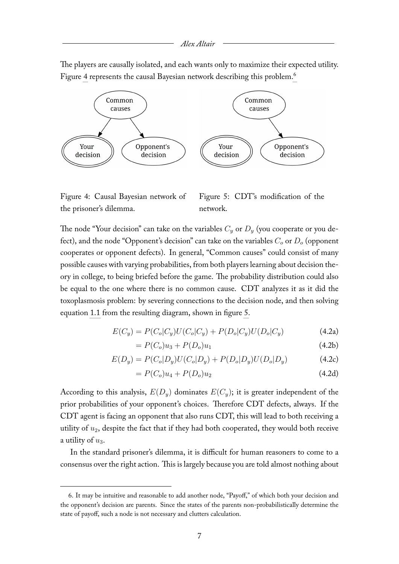The players are causally isolated, and each wants only to maximize their expected utility. Figure [4](#page-7-0) represents the causal Bayesian network describing this problem.<sup>[6](#page-7-1)</sup>



<span id="page-7-0"></span>Figure 4: Causal Bayesian network of the prisoner's dilemma.

<span id="page-7-2"></span>Figure 5: CDT's modification of the network.

The node "Your decision" can take on the variables  $C_y$  or  $D_y$  (you cooperate or you defect), and the node "Opponent's decision" can take on the variables  $C<sub>o</sub>$  or  $D<sub>o</sub>$  (opponent cooperates or opponent defects). In general, "Common causes" could consist of many possible causes with varying probabilities, from both players learning about decision theory in college, to being briefed before the game. The probability distribution could also be equal to the one where there is no common cause. CDT analyzes it as it did the toxoplasmosis problem: by severing connections to the decision node, and then solving equation [1.1](#page-1-2) from the resulting diagram, shown in figure [5.](#page-7-2)

$$
E(C_y) = P(C_o|C_y)U(C_o|C_y) + P(D_o|C_y)U(D_o|C_y)
$$
\n(4.2a)

$$
= P(C_o)u_3 + P(D_o)u_1 \t\t(4.2b)
$$

$$
E(D_y) = P(C_o|D_y)U(C_o|D_y) + P(D_o|D_y)U(D_o|D_y)
$$
\n(4.2c)

$$
= P(C_o)u_4 + P(D_o)u_2 \t\t(4.2d)
$$

According to this analysis,  $E(D_u)$  dominates  $E(C_u)$ ; it is greater independent of the prior probabilities of your opponent's choices. Therefore CDT defects, always. If the CDT agent is facing an opponent that also runs CDT, this will lead to both receiving a utility of  $u_2$ , despite the fact that if they had both cooperated, they would both receive a utility of  $u_3$ .

In the standard prisoner's dilemma, it is difficult for human reasoners to come to a consensus over the right action. This is largely because you are told almost nothing about

<span id="page-7-1"></span><sup>6.</sup> It may be intuitive and reasonable to add another node, "Payoff," of which both your decision and the opponent's decision are parents. Since the states of the parents non-probabilistically determine the state of payoff, such a node is not necessary and clutters calculation.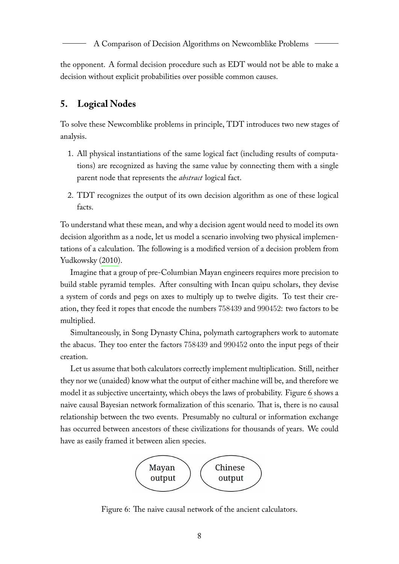the opponent. A formal decision procedure such as EDT would not be able to make a decision without explicit probabilities over possible common causes.

# <span id="page-8-0"></span>**5. Logical Nodes**

To solve these Newcomblike problems in principle, TDT introduces two new stages of analysis.

- 1. All physical instantiations of the same logical fact (including results of computations) are recognized as having the same value by connecting them with a single parent node that represents the *abstract* logical fact.
- 2. TDT recognizes the output of its own decision algorithm as one of these logical facts.

To understand what these mean, and why a decision agent would need to model its own decision algorithm as a node, let us model a scenario involving two physical implementations of a calculation. The following is a modified version of a decision problem from Yudkowsky [\(2010\)](#page-16-1).

Imagine that a group of pre-Columbian Mayan engineers requires more precision to build stable pyramid temples. After consulting with Incan quipu scholars, they devise a system of cords and pegs on axes to multiply up to twelve digits. To test their creation, they feed it ropes that encode the numbers 758439 and 990452: two factors to be multiplied.

Simultaneously, in Song Dynasty China, polymath cartographers work to automate the abacus. They too enter the factors 758439 and 990452 onto the input pegs of their creation.

Let us assume that both calculators correctly implement multiplication. Still, neither they nor we (unaided) know what the output of either machine will be, and therefore we model it as subjective uncertainty, which obeys the laws of probability. Figure [6](#page-8-1) shows a naive causal Bayesian network formalization of this scenario. That is, there is no causal relationship between the two events. Presumably no cultural or information exchange has occurred between ancestors of these civilizations for thousands of years. We could have as easily framed it between alien species.

<span id="page-8-1"></span>

Figure 6: The naive causal network of the ancient calculators.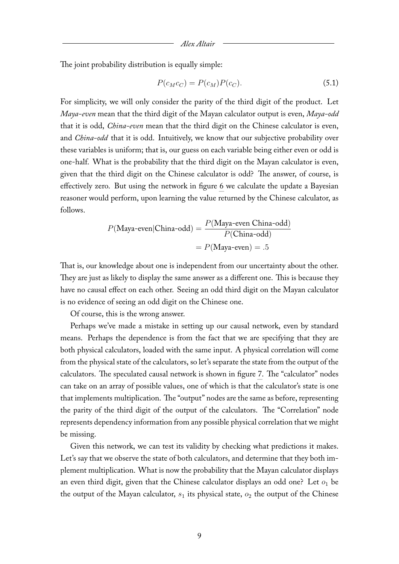The joint probability distribution is equally simple:

$$
P(c_M c_C) = P(c_M)P(c_C). \tag{5.1}
$$

For simplicity, we will only consider the parity of the third digit of the product. Let *Maya-even* mean that the third digit of the Mayan calculator output is even, *Maya-odd* that it is odd, *China-even* mean that the third digit on the Chinese calculator is even, and *China-odd* that it is odd. Intuitively, we know that our subjective probability over these variables is uniform; that is, our guess on each variable being either even or odd is one-half. What is the probability that the third digit on the Mayan calculator is even, given that the third digit on the Chinese calculator is odd? The answer, of course, is effectively zero. But using the network in figure [6](#page-8-1) we calculate the update a Bayesian reasoner would perform, upon learning the value returned by the Chinese calculator, as follows.

$$
P(\text{Maya-even}|\text{China-odd}) = \frac{P(\text{Maya-even China-odd})}{P(\text{China-odd})}
$$

$$
= P(\text{Maya-even}) = .5
$$

That is, our knowledge about one is independent from our uncertainty about the other. They are just as likely to display the same answer as a different one. This is because they have no causal effect on each other. Seeing an odd third digit on the Mayan calculator is no evidence of seeing an odd digit on the Chinese one.

Of course, this is the wrong answer.

Perhaps we've made a mistake in setting up our causal network, even by standard means. Perhaps the dependence is from the fact that we are specifying that they are both physical calculators, loaded with the same input. A physical correlation will come from the physical state of the calculators, so let's separate the state from the output of the calculators. The speculated causal network is shown in figure [7.](#page-10-0) The "calculator" nodes can take on an array of possible values, one of which is that the calculator's state is one that implements multiplication. The "output" nodes are the same as before, representing the parity of the third digit of the output of the calculators. The "Correlation" node represents dependency information from any possible physical correlation that we might be missing.

Given this network, we can test its validity by checking what predictions it makes. Let's say that we observe the state of both calculators, and determine that they both implement multiplication. What is now the probability that the Mayan calculator displays an even third digit, given that the Chinese calculator displays an odd one? Let  $o_1$  be the output of the Mayan calculator,  $s_1$  its physical state,  $o_2$  the output of the Chinese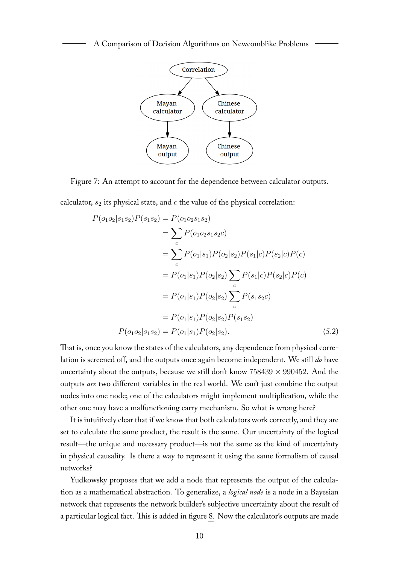<span id="page-10-0"></span>

Figure 7: An attempt to account for the dependence between calculator outputs.

calculator,  $s_2$  its physical state, and  $c$  the value of the physical correlation:

$$
P(o_1o_2|s_1s_2)P(s_1s_2) = P(o_1o_2s_1s_2)
$$
  
=  $\sum_c P(o_1o_2s_1s_2c)$   
=  $\sum_c P(o_1|s_1)P(o_2|s_2)P(s_1|c)P(s_2|c)P(c)$   
=  $P(o_1|s_1)P(o_2|s_2) \sum_c P(s_1|c)P(s_2|c)P(c)$   
=  $P(o_1|s_1)P(o_2|s_2) \sum_c P(s_1s_2c)$   
=  $P(o_1|s_1)P(o_2|s_2)P(s_1s_2)$   
 $P(o_1o_2|s_1s_2) = P(o_1|s_1)P(o_2|s_2).$  (5.2)

That is, once you know the states of the calculators, any dependence from physical correlation is screened off, and the outputs once again become independent. We still *do* have uncertainty about the outputs, because we still don't know  $758439 \times 990452$ . And the outputs *are* two different variables in the real world. We can't just combine the output nodes into one node; one of the calculators might implement multiplication, while the other one may have a malfunctioning carry mechanism. So what is wrong here?

It is intuitively clear that if we know that both calculators work correctly, and they are set to calculate the same product, the result is the same. Our uncertainty of the logical result—the unique and necessary product—is not the same as the kind of uncertainty in physical causality. Is there a way to represent it using the same formalism of causal networks?

Yudkowsky proposes that we add a node that represents the output of the calculation as a mathematical abstraction. To generalize, a *logical node* is a node in a Bayesian network that represents the network builder's subjective uncertainty about the result of a particular logical fact. This is added in figure [8.](#page-11-1) Now the calculator's outputs are made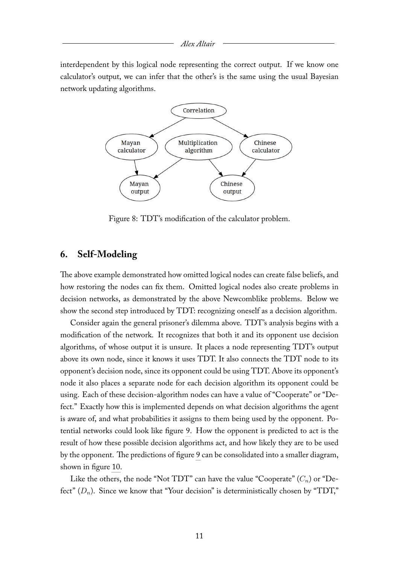#### *Alex Altair*

interdependent by this logical node representing the correct output. If we know one calculator's output, we can infer that the other's is the same using the usual Bayesian network updating algorithms.



<span id="page-11-1"></span>Figure 8: TDT's modification of the calculator problem.

### <span id="page-11-0"></span>**6. Self-Modeling**

The above example demonstrated how omitted logical nodes can create false beliefs, and how restoring the nodes can fix them. Omitted logical nodes also create problems in decision networks, as demonstrated by the above Newcomblike problems. Below we show the second step introduced by TDT: recognizing oneself as a decision algorithm.

Consider again the general prisoner's dilemma above. TDT's analysis begins with a modification of the network. It recognizes that both it and its opponent use decision algorithms, of whose output it is unsure. It places a node representing TDT's output above its own node, since it knows it uses TDT. It also connects the TDT node to its opponent's decision node, since its opponent could be using TDT. Above its opponent's node it also places a separate node for each decision algorithm its opponent could be using. Each of these decision-algorithm nodes can have a value of "Cooperate" or "Defect." Exactly how this is implemented depends on what decision algorithms the agent is aware of, and what probabilities it assigns to them being used by the opponent. Potential networks could look like figure [9.](#page-12-0) How the opponent is predicted to act is the result of how these possible decision algorithms act, and how likely they are to be used by the opponent. The predictions of figure [9](#page-12-0) can be consolidated into a smaller diagram, shown in figure [10.](#page-12-1)

Like the others, the node "Not TDT" can have the value "Cooperate"  $(C_n)$  or "Defect"  $(D_n)$ . Since we know that "Your decision" is deterministically chosen by "TDT,"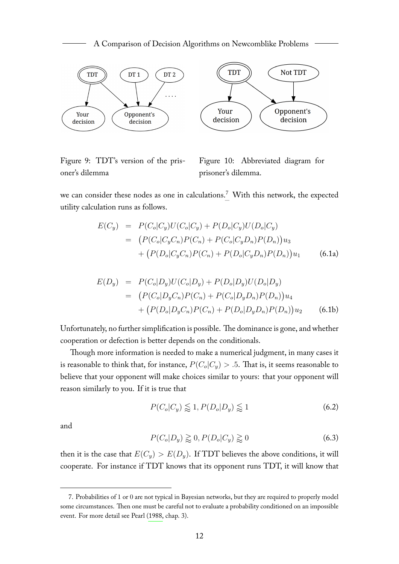

<span id="page-12-0"></span>Figure 9: TDT's version of the prisoner's dilemma

<span id="page-12-1"></span>Figure 10: Abbreviated diagram for prisoner's dilemma.

we can consider these nodes as one in calculations.[7](#page-12-2) With this network, the expected utility calculation runs as follows.

$$
E(C_y) = P(C_o|C_y)U(C_o|C_y) + P(D_o|C_y)U(D_o|C_y)
$$
  
= 
$$
(P(C_o|C_yC_n)P(C_n) + P(C_o|C_yD_n)P(D_n))u_3
$$
  
+ 
$$
(P(D_o|C_yC_n)P(C_n) + P(D_o|C_yD_n)P(D_n))u_1
$$
 (6.1a)

$$
E(D_y) = P(C_o|D_y)U(C_o|D_y) + P(D_o|D_y)U(D_o|D_y)
$$
  
= 
$$
(P(C_o|D_yC_n)P(C_n) + P(C_o|D_yD_n)P(D_n))u_4
$$
  
+ 
$$
(P(D_o|D_yC_n)P(C_n) + P(D_o|D_yD_n)P(D_n))u_2
$$
 (6.1b)

Unfortunately, no further simplification is possible. The dominance is gone, and whether cooperation or defection is better depends on the conditionals.

Though more information is needed to make a numerical judgment, in many cases it is reasonable to think that, for instance,  $P(C_o|C_y) > .5$ . That is, it seems reasonable to believe that your opponent will make choices similar to yours: that your opponent will reason similarly to you. If it is true that

$$
P(C_o|C_y) \lesssim 1, P(D_o|D_y) \lesssim 1\tag{6.2}
$$

and

$$
P(C_o|D_y) \gtrapprox 0, P(D_o|C_y) \gtrapprox 0 \tag{6.3}
$$

then it is the case that  $E(C_y) > E(D_y)$ . If TDT believes the above conditions, it will cooperate. For instance if TDT knows that its opponent runs TDT, it will know that

<span id="page-12-2"></span><sup>7.</sup> Probabilities of 1 or 0 are not typical in Bayesian networks, but they are required to properly model some circumstances. Then one must be careful not to evaluate a probability conditioned on an impossible event. For more detail see Pearl [\(1988,](#page-15-9) chap. 3).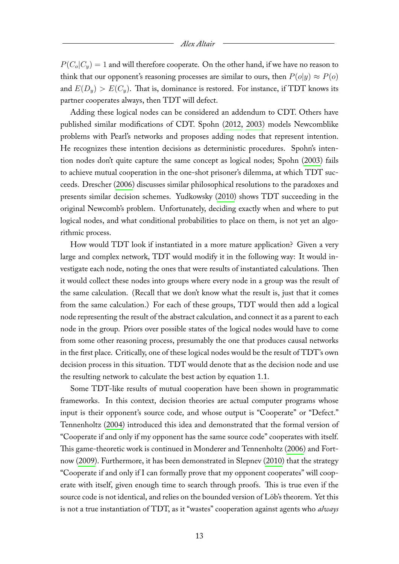$P(C_o|C_u) = 1$  and will therefore cooperate. On the other hand, if we have no reason to think that our opponent's reasoning processes are similar to ours, then  $P(o|y) \approx P(o)$ and  $E(D_y) > E(C_y)$ . That is, dominance is restored. For instance, if TDT knows its partner cooperates always, then TDT will defect.

Adding these logical nodes can be considered an addendum to CDT. Others have published similar modifications of CDT. Spohn [\(2012,](#page-16-2) [2003\)](#page-16-3) models Newcomblike problems with Pearl's networks and proposes adding nodes that represent intention. He recognizes these intention decisions as deterministic procedures. Spohn's intention nodes don't quite capture the same concept as logical nodes; Spohn [\(2003\)](#page-16-3) fails to achieve mutual cooperation in the one-shot prisoner's dilemma, at which TDT succeeds. Drescher [\(2006\)](#page-15-10) discusses similar philosophical resolutions to the paradoxes and presents similar decision schemes. Yudkowsky [\(2010\)](#page-16-1) shows TDT succeeding in the original Newcomb's problem. Unfortunately, deciding exactly when and where to put logical nodes, and what conditional probabilities to place on them, is not yet an algorithmic process.

How would TDT look if instantiated in a more mature application? Given a very large and complex network, TDT would modify it in the following way: It would investigate each node, noting the ones that were results of instantiated calculations. Then it would collect these nodes into groups where every node in a group was the result of the same calculation. (Recall that we don't know what the result is, just that it comes from the same calculation.) For each of these groups, TDT would then add a logical node representing the result of the abstract calculation, and connect it as a parent to each node in the group. Priors over possible states of the logical nodes would have to come from some other reasoning process, presumably the one that produces causal networks in the first place. Critically, one of these logical nodes would be the result of TDT's own decision process in this situation. TDT would denote that as the decision node and use the resulting network to calculate the best action by equation [1.1.](#page-1-2)

Some TDT-like results of mutual cooperation have been shown in programmatic frameworks. In this context, decision theories are actual computer programs whose input is their opponent's source code, and whose output is "Cooperate" or "Defect." Tennenholtz [\(2004\)](#page-16-4) introduced this idea and demonstrated that the formal version of "Cooperate if and only if my opponent has the same source code" cooperates with itself. This game-theoretic work is continued in Monderer and Tennenholtz [\(2006\)](#page-15-11) and Fortnow [\(2009\)](#page-15-12). Furthermore, it has been demonstrated in Slepnev [\(2010\)](#page-15-13) that the strategy "Cooperate if and only if I can formally prove that my opponent cooperates" will cooperate with itself, given enough time to search through proofs. This is true even if the source code is not identical, and relies on the bounded version of Löb's theorem. Yet this is not a true instantiation of TDT, as it "wastes" cooperation against agents who *always*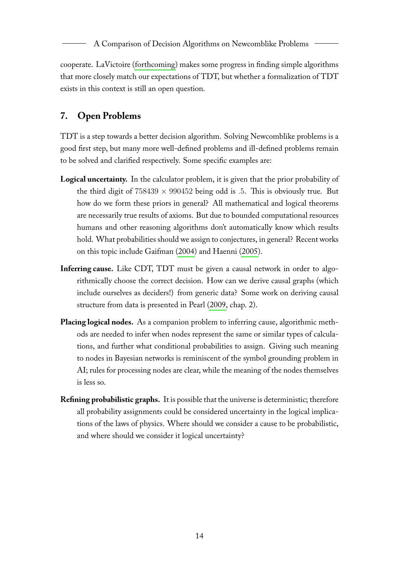cooperate. LaVictoire [\(forthcoming\)](#page-15-14) makes some progress in finding simple algorithms that more closely match our expectations of TDT, but whether a formalization of TDT exists in this context is still an open question.

# <span id="page-14-0"></span>**7. Open Problems**

TDT is a step towards a better decision algorithm. Solving Newcomblike problems is a good first step, but many more well-defined problems and ill-defined problems remain to be solved and clarified respectively. Some specific examples are:

- **Logical uncertainty.** In the calculator problem, it is given that the prior probability of the third digit of  $758439 \times 990452$  being odd is .5. This is obviously true. But how do we form these priors in general? All mathematical and logical theorems are necessarily true results of axioms. But due to bounded computational resources humans and other reasoning algorithms don't automatically know which results hold. What probabilities should we assign to conjectures, in general? Recent works on this topic include Gaifman [\(2004\)](#page-15-15) and Haenni [\(2005\)](#page-15-16).
- **Inferring cause.** Like CDT, TDT must be given a causal network in order to algorithmically choose the correct decision. How can we derive causal graphs (which include ourselves as deciders!) from generic data? Some work on deriving causal structure from data is presented in Pearl [\(2009,](#page-15-1) chap. 2).
- **Placing logical nodes.** As a companion problem to inferring cause, algorithmic methods are needed to infer when nodes represent the same or similar types of calculations, and further what conditional probabilities to assign. Giving such meaning to nodes in Bayesian networks is reminiscent of the symbol grounding problem in AI; rules for processing nodes are clear, while the meaning of the nodes themselves is less so.
- **Refining probabilistic graphs.** It is possible that the universe is deterministic; therefore all probability assignments could be considered uncertainty in the logical implications of the laws of physics. Where should we consider a cause to be probabilistic, and where should we consider it logical uncertainty?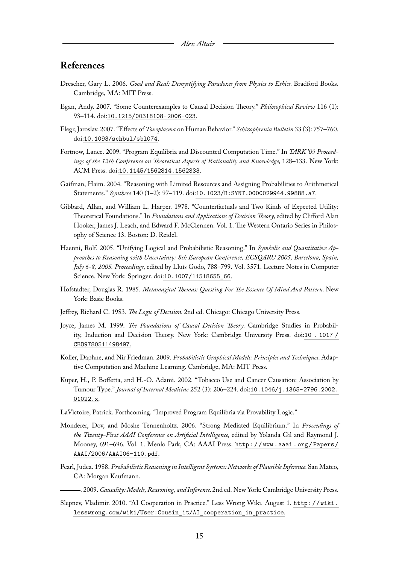# **References**

- <span id="page-15-10"></span>Drescher, Gary L. 2006. *Good and Real: Demystifying Paradoxes from Physics to Ethics.* Bradford Books. Cambridge, MA: MIT Press.
- <span id="page-15-6"></span>Egan, Andy. 2007. "Some Counterexamples to Causal Decision Theory." *Philosophical Review* 116 (1): 93–114. doi:[10.1215/00318108-2006-023](http://dx.doi.org/10.1215/00318108-2006-023).
- <span id="page-15-8"></span>Flegr, Jaroslav. 2007. "Effects of *Toxoplasma* on Human Behavior*.*" *Schizophrenia Bulletin* 33 (3): 757–760. doi:[10.1093/schbul/sbl074](http://dx.doi.org/10.1093/schbul/sbl074).
- <span id="page-15-12"></span>Fortnow, Lance. 2009. "Program Equilibria and Discounted Computation Time." In *TARK '09 Proceedings of the 12th Conference on Theoretical Aspects of Rationality and Knowledge,* 128–133. New York: ACM Press. doi:[10.1145/1562814.1562833](http://dx.doi.org/10.1145/1562814.1562833).
- <span id="page-15-15"></span>Gaifman, Haim. 2004. "Reasoning with Limited Resources and Assigning Probabilities to Arithmetical Statements." *Synthese* 140 (1–2): 97–119. doi:[10.1023/B:SYNT.0000029944.99888.a7](http://dx.doi.org/10.1023/B:SYNT.0000029944.99888.a7).
- <span id="page-15-5"></span>Gibbard, Allan, and William L. Harper. 1978. "Counterfactuals and Two Kinds of Expected Utility: Theoretical Foundations." In *Foundations and Applications of Decision Theory,* edited by Clifford Alan Hooker, James J. Leach, and Edward F. McClennen. Vol. 1. The Western Ontario Series in Philosophy of Science 13. Boston: D. Reidel.
- <span id="page-15-16"></span>Haenni, Rolf. 2005. "Unifying Logical and Probabilistic Reasoning." In *Symbolic and Quantitative Approaches to Reasoning with Uncertainty: 8th European Conference, ECSQARU 2005, Barcelona, Spain, July 6-8, 2005. Proceedings,* edited by Lluís Godo, 788–799. Vol. 3571. Lecture Notes in Computer Science. New York: Springer. doi:[10.1007/11518655\\_66](http://dx.doi.org/10.1007/11518655_66).
- <span id="page-15-0"></span>Hofstadter, Douglas R. 1985. *Metamagical Themas: Questing For The Essence Of Mind And Pattern.* New York: Basic Books.
- <span id="page-15-2"></span>Jeffrey, Richard C. 1983. *The Logic of Decision.* 2nd ed. Chicago: Chicago University Press.
- <span id="page-15-3"></span>Joyce, James M. 1999. *The Foundations of Causal Decision Theory.* Cambridge Studies in Probability, Induction and Decision Theory. New York: Cambridge University Press. doi:[10 . 1017 /](http://dx.doi.org/10.1017/CBO9780511498497) [CBO9780511498497](http://dx.doi.org/10.1017/CBO9780511498497).
- <span id="page-15-4"></span>Koller, Daphne, and Nir Friedman. 2009. *Probabilistic Graphical Models: Principles and Techniques.* Adaptive Computation and Machine Learning. Cambridge, MA: MIT Press.
- <span id="page-15-7"></span>Kuper, H., P. Boffetta, and H.-O. Adami. 2002. "Tobacco Use and Cancer Causation: Association by Tumour Type." *Journal of Internal Medicine* 252 (3): 206–224. doi:[10.1046/j.1365-2796.2002.](http://dx.doi.org/10.1046/j.1365-2796.2002.01022.x) [01022.x](http://dx.doi.org/10.1046/j.1365-2796.2002.01022.x).
- <span id="page-15-14"></span>LaVictoire, Patrick. Forthcoming. "Improved Program Equilibria via Provability Logic."
- <span id="page-15-11"></span>Monderer, Dov, and Moshe Tennenholtz. 2006. "Strong Mediated Equilibrium." In *Proceedings of the Twenty-First AAAI Conference on Artificial Intelligence,* edited by Yolanda Gil and Raymond J. Mooney, 691–696. Vol. 1. Menlo Park, CA: AAAI Press. [http : / / www . aaai . org / Papers /](http://www.aaai.org/Papers/AAAI/2006/AAAI06-110.pdf) [AAAI/2006/AAAI06-110.pdf](http://www.aaai.org/Papers/AAAI/2006/AAAI06-110.pdf).
- <span id="page-15-9"></span>Pearl, Judea. 1988. *Probabilistic Reasoning in Intelligent Systems: Networks of Plausible Inference.*San Mateo, CA: Morgan Kaufmann.

<span id="page-15-1"></span>. 2009. *Causality: Models, Reasoning, and Inference.*2nd ed. New York: Cambridge University Press.

<span id="page-15-13"></span>Slepnev, Vladimir. 2010. "AI Cooperation in Practice." Less Wrong Wiki. August 1. [http://wiki.](http://wiki.lesswrong.com/wiki/User:Cousin_it/AI_cooperation_in_practice) [lesswrong.com/wiki/User:Cousin\\_it/AI\\_cooperation\\_in\\_practice](http://wiki.lesswrong.com/wiki/User:Cousin_it/AI_cooperation_in_practice).